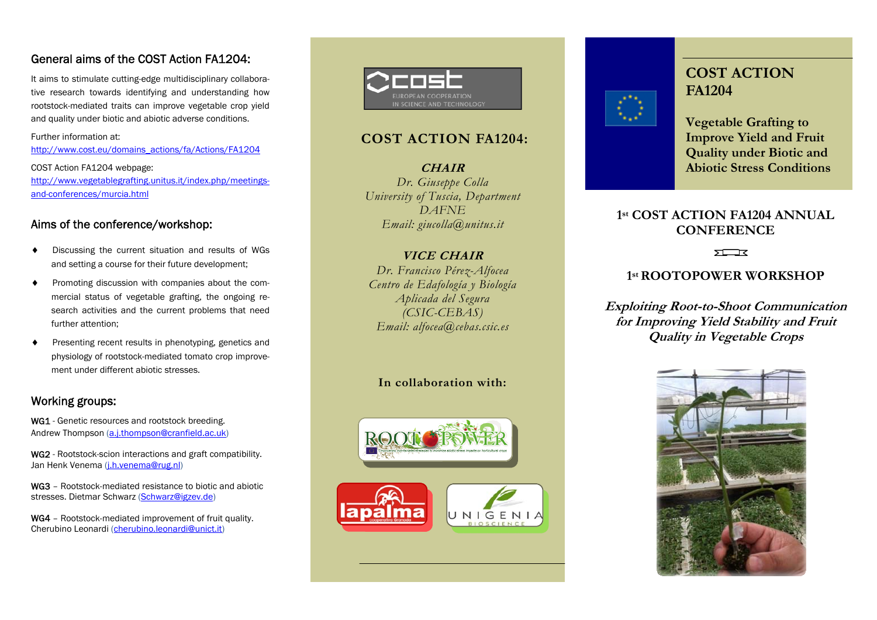# General aims of the COST Action FA1204:<br>It aims to stimulate cutting-edge multidisciplinary collabora-

tive research towards identifying and understanding how rootstock-mediated traits can improve vegetable crop yield and quality under biotic and abiotic adverse conditions.

Further information at: http://www.cost.eu/domains\_actions/fa/Actions/FA1204

COST Action FA1204 webpage: http://www.vegetablegrafting.unitus.it/index.php/meetingsand-conferences/murcia.html

### Aims of the conference/workshop:

- ٠ Discussing the current situation and results of WGs and setting a course for their future development;
- $\overline{\phantom{a}}$  Promoting discussion with companies about the commercial status of vegetable grafting, the ongoing research activities and the current problems that need further attention;
- ٠ Presenting recent results in phenotyping, genetics and physiology of rootstock-mediated tomato crop improvement under different abiotic stresses.

### Working groups:

WG1 - Genetic resources and rootstock breeding. Andrew Thompson (a.j.thompson@cranfield.ac.uk)

WG2 - Rootstock-scion interactions and graft compatibility. Jan Henk Venema (j.h.venema@rug.nl)

WG3 - Rootstock-mediated resistance to biotic and abiotic stresses. Dietmar Schwarz (Schwarz@igzev.de)

WG4 - Rootstock-mediated improvement of fruit quality. Cherubino Leonardi (cherubino.leonardi@unict.it)



# **COST ACTION FA1204:**

**CHAIR** *Dr. Giuseppe Colla University of Tuscia, Department DAFNE Email: giucolla@unitus.it* 

### **VICE CHAIR**

*Dr. Francisco Pérez-Alfocea Centro de Edafología y Biología Aplicada del Segura (CSIC-CEBAS) Email: alfocea@cebas.csic.es* 

### **In collaboration with:**







**COST ACTION FA1204** 

**Vegetable Grafting to Improve Yield and Fruit Quality under Biotic and Abiotic Stress Conditions** 

# **1st COST ACTION FA1204 ANNUAL CONFERENCE**

 $5T$ 

### **1st ROOTOPOWER WORKSHOP**

**Exploiting Root-to-Shoot Communication for Improving Yield Stability and Fruit Quality in Vegetable Crops**